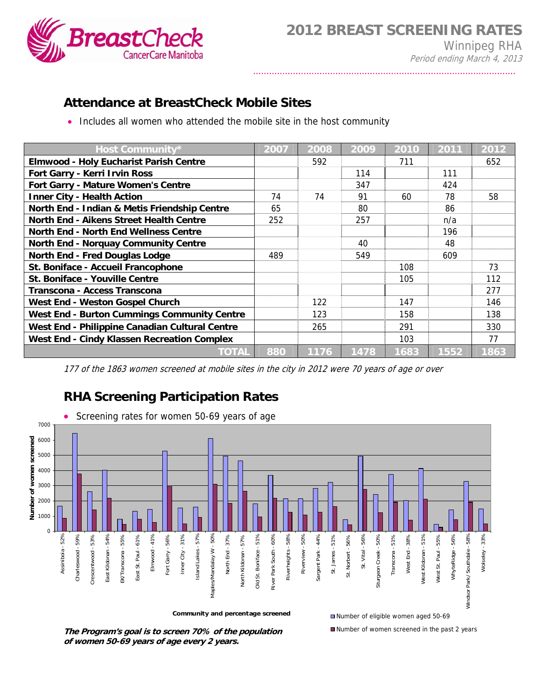

## **Attendance at BreastCheck Mobile Sites**

• Includes all women who attended the mobile site in the host community

| Host Community*                                    | 2007 | 2008 | 2009 | 2010 | 2011 | 2012 |
|----------------------------------------------------|------|------|------|------|------|------|
| <b>Elmwood - Holy Eucharist Parish Centre</b>      |      | 592  |      | 711  |      | 652  |
| Fort Garry - Kerri Irvin Ross                      |      |      | 114  |      | 111  |      |
| Fort Garry - Mature Women's Centre                 |      |      | 347  |      | 424  |      |
| <b>Inner City - Health Action</b>                  | 74   | 74   | 91   | 60   | 78   | 58   |
| North End - Indian & Metis Friendship Centre       | 65   |      | 80   |      | 86   |      |
| <b>North End - Aikens Street Health Centre</b>     | 252  |      | 257  |      | n/a  |      |
| <b>North End - North End Wellness Centre</b>       |      |      |      |      | 196  |      |
| <b>North End - Norquay Community Centre</b>        |      |      | 40   |      | 48   |      |
| <b>North End - Fred Douglas Lodge</b>              | 489  |      | 549  |      | 609  |      |
| St. Boniface - Accueil Francophone                 |      |      |      | 108  |      | 73   |
| St. Boniface - Youville Centre                     |      |      |      | 105  |      | 112  |
| Transcona - Access Transcona                       |      |      |      |      |      | 277  |
| West End - Weston Gospel Church                    |      | 122  |      | 147  |      | 146  |
| <b>West End - Burton Cummings Community Centre</b> |      | 123  |      | 158  |      | 138  |
| West End - Philippine Canadian Cultural Centre     |      | 265  |      | 291  |      | 330  |
| <b>West End - Cindy Klassen Recreation Complex</b> |      |      |      | 103  |      | 77   |
| TOTAL                                              | 880  | 1176 | 1478 | 1683 | 1552 | 1863 |

<sup>177</sup> of the 1863 women screened at mobile sites in the city in 2012 were 70 years of age or over

## **RHA Screening Participation Rates**



**The Program's goal is to screen 70% of the population of women 50-69 years of age every 2 years.**